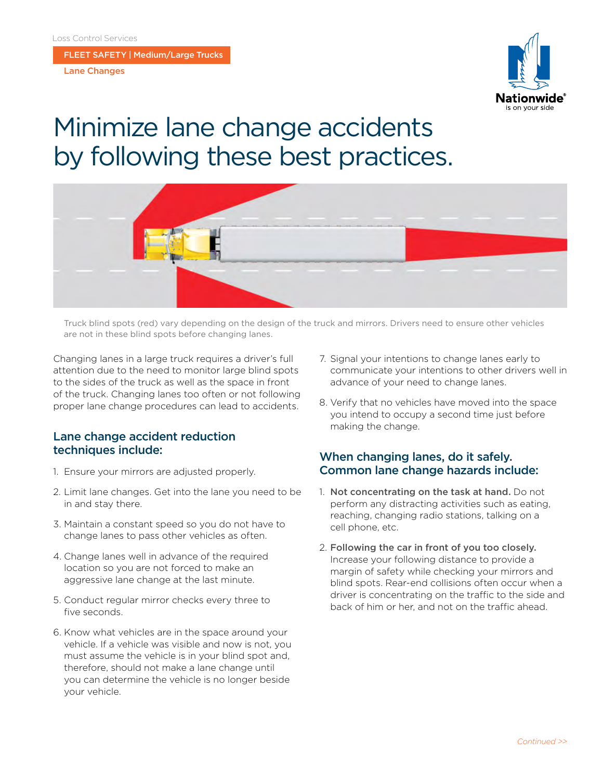FLEET SAFETY | Medium/Large Trucks

Lane Changes



## Minimize lane change accidents by following these best practices.



Truck blind spots (red) vary depending on the design of the truck and mirrors. Drivers need to ensure other vehicles are not in these blind spots before changing lanes.

Changing lanes in a large truck requires a driver's full attention due to the need to monitor large blind spots to the sides of the truck as well as the space in front of the truck. Changing lanes too often or not following proper lane change procedures can lead to accidents.

## Lane change accident reduction techniques include:

- 1. Ensure your mirrors are adjusted properly.
- 2. Limit lane changes. Get into the lane you need to be in and stay there.
- 3. Maintain a constant speed so you do not have to change lanes to pass other vehicles as often.
- 4. Change lanes well in advance of the required location so you are not forced to make an aggressive lane change at the last minute.
- 5. Conduct regular mirror checks every three to five seconds.
- 6. Know what vehicles are in the space around your vehicle. If a vehicle was visible and now is not, you must assume the vehicle is in your blind spot and, therefore, should not make a lane change until you can determine the vehicle is no longer beside your vehicle.
- 7. Signal your intentions to change lanes early to communicate your intentions to other drivers well in advance of your need to change lanes.
- 8. Verify that no vehicles have moved into the space you intend to occupy a second time just before making the change.

## When changing lanes, do it safely. Common lane change hazards include:

- 1. Not concentrating on the task at hand. Do not perform any distracting activities such as eating, reaching, changing radio stations, talking on a cell phone, etc.
- 2. Following the car in front of you too closely. Increase your following distance to provide a margin of safety while checking your mirrors and blind spots. Rear-end collisions often occur when a driver is concentrating on the traffic to the side and back of him or her, and not on the traffic ahead.